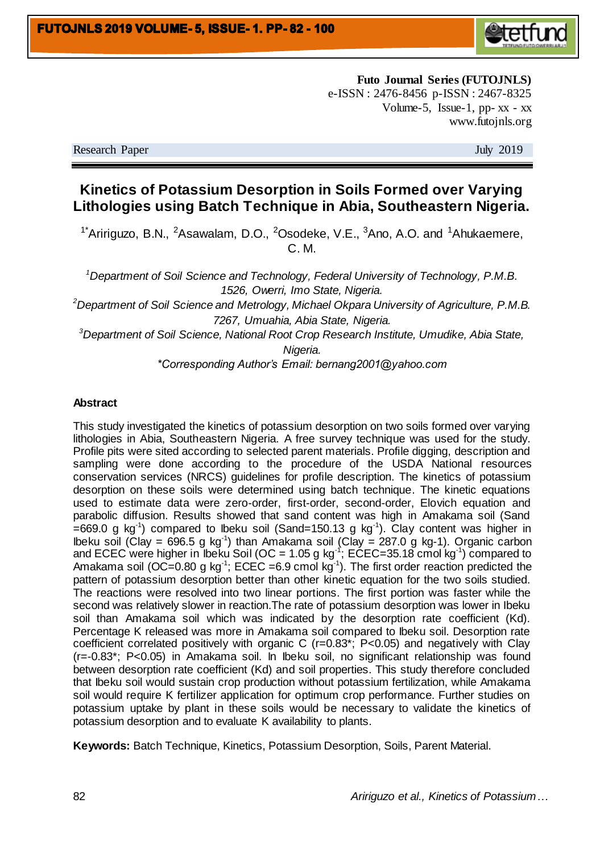

**Futo Journal Series (FUTOJNLS)** e-ISSN : 2476-8456 p-ISSN : 2467-8325 Volume-5, Issue-1, pp- $XX - XX$ www.futojnls.org

Research Paper July 2019

# **Kinetics of Potassium Desorption in Soils Formed over Varying Lithologies using Batch Technique in Abia, Southeastern Nigeria.**

<sup>1\*</sup>Aririguzo, B.N., <sup>2</sup>Asawalam, D.O., <sup>2</sup>Osodeke, V.E.,  $3$ Ano, A.O. and  $1$ Ahukaemere, C. M.

*<sup>1</sup>Department of Soil Science and Technology, Federal University of Technology, P.M.B. 1526, Owerri, Imo State, Nigeria.*

*<sup>2</sup>Department of Soil Science and Metrology, Michael Okpara University of Agriculture, P.M.B. 7267, Umuahia, Abia State, Nigeria.*

*<sup>3</sup>Department of Soil Science, National Root Crop Research Institute, Umudike, Abia State, Nigeria.*

*\*Corresponding Author's Email: bernang2001@yahoo.com*

### **Abstract**

This study investigated the kinetics of potassium desorption on two soils formed over varying lithologies in Abia, Southeastern Nigeria. A free survey technique was used for the study. Profile pits were sited according to selected parent materials. Profile digging, description and sampling were done according to the procedure of the USDA National resources conservation services (NRCS) guidelines for profile description. The kinetics of potassium desorption on these soils were determined using batch technique. The kinetic equations used to estimate data were zero-order, first-order, second-order, Elovich equation and parabolic diffusion. Results showed that sand content was high in Amakama soil (Sand =669.0 g kg<sup>-1</sup>) compared to Ibeku soil (Sand=150.13 g kg<sup>-1</sup>). Clay content was higher in lbeku soil (Clay = 696.5 g kg<sup>-1</sup>) than Amakama soil (Clay = 287.0 g kg-1). Organic carbon and ECEC were higher in Ibeku Soil (OC = 1.05 g kg<sup>-1</sup>; ECEC=35.18 cmol kg<sup>-1</sup>) compared to Amakama soil (OC=0.80 g kg<sup>-1</sup>; ECEC =6.9 cmol kg<sup>-1</sup>). The first order reaction predicted the pattern of potassium desorption better than other kinetic equation for the two soils studied. The reactions were resolved into two linear portions. The first portion was faster while the second was relatively slower in reaction.The rate of potassium desorption was lower in Ibeku soil than Amakama soil which was indicated by the desorption rate coefficient (Kd). Percentage K released was more in Amakama soil compared to Ibeku soil. Desorption rate coefficient correlated positively with organic C (r=0.83\*; P<0.05) and negatively with Clay (r=-0.83\*; P<0.05) in Amakama soil. In Ibeku soil, no significant relationship was found between desorption rate coefficient (Kd) and soil properties. This study therefore concluded that Ibeku soil would sustain crop production without potassium fertilization, while Amakama soil would require K fertilizer application for optimum crop performance. Further studies on potassium uptake by plant in these soils would be necessary to validate the kinetics of potassium desorption and to evaluate K availability to plants.

**Keywords:** Batch Technique, Kinetics, Potassium Desorption, Soils, Parent Material.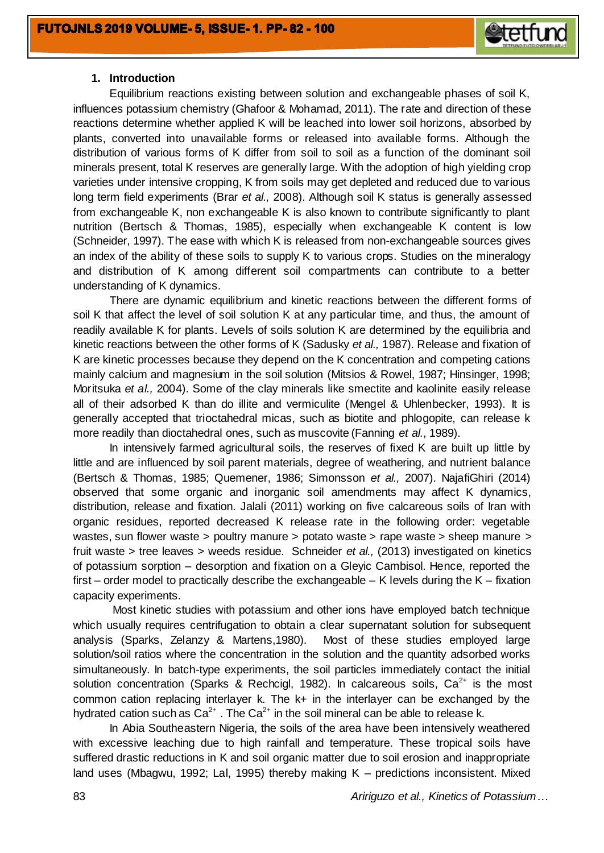

### **1. Introduction**

Equilibrium reactions existing between solution and exchangeable phases of soil K, influences potassium chemistry (Ghafoor & Mohamad, 2011). The rate and direction of these reactions determine whether applied K will be leached into lower soil horizons, absorbed by plants, converted into unavailable forms or released into available forms. Although the distribution of various forms of K differ from soil to soil as a function of the dominant soil minerals present, total K reserves are generally large. With the adoption of high yielding crop varieties under intensive cropping, K from soils may get depleted and reduced due to various long term field experiments (Brar *et al.,* 2008). Although soil K status is generally assessed from exchangeable K, non exchangeable K is also known to contribute significantly to plant nutrition (Bertsch & Thomas, 1985), especially when exchangeable K content is low (Schneider, 1997). The ease with which K is released from non-exchangeable sources gives an index of the ability of these soils to supply K to various crops. Studies on the mineralogy and distribution of K among different soil compartments can contribute to a better understanding of K dynamics.

There are dynamic equilibrium and kinetic reactions between the different forms of soil K that affect the level of soil solution K at any particular time, and thus, the amount of readily available K for plants. Levels of soils solution K are determined by the equilibria and kinetic reactions between the other forms of K (Sadusky *et al.,* 1987). Release and fixation of K are kinetic processes because they depend on the K concentration and competing cations mainly calcium and magnesium in the soil solution (Mitsios & Rowel, 1987; Hinsinger, 1998; Moritsuka *et al.,* 2004). Some of the clay minerals like smectite and kaolinite easily release all of their adsorbed K than do illite and vermiculite (Mengel & Uhlenbecker, 1993). It is generally accepted that trioctahedral micas, such as biotite and phlogopite, can release k more readily than dioctahedral ones, such as muscovite (Fanning *et al.*, 1989).

In intensively farmed agricultural soils, the reserves of fixed K are built up little by little and are influenced by soil parent materials, degree of weathering, and nutrient balance (Bertsch & Thomas, 1985; Quemener, 1986; Simonsson *et al.,* 2007). NajafiGhiri (2014) observed that some organic and inorganic soil amendments may affect K dynamics, distribution, release and fixation. Jalali (2011) working on five calcareous soils of Iran with organic residues, reported decreased K release rate in the following order: vegetable wastes, sun flower waste > poultry manure > potato waste > rape waste > sheep manure > fruit waste > tree leaves > weeds residue. Schneider *et al.,* (2013) investigated on kinetics of potassium sorption – desorption and fixation on a Gleyic Cambisol. Hence, reported the first – order model to practically describe the exchangeable – K levels during the K – fixation capacity experiments.

Most kinetic studies with potassium and other ions have employed batch technique which usually requires centrifugation to obtain a clear supernatant solution for subsequent analysis (Sparks, Zelanzy & Martens,1980). Most of these studies employed large solution/soil ratios where the concentration in the solution and the quantity adsorbed works simultaneously. In batch-type experiments, the soil particles immediately contact the initial solution concentration (Sparks & Rechcigl, 1982). In calcareous soils,  $Ca^{2+}$  is the most common cation replacing interlayer k. The k+ in the interlayer can be exchanged by the hydrated cation such as  $Ca^{2+}$ . The  $Ca^{2+}$  in the soil mineral can be able to release k.

In Abia Southeastern Nigeria, the soils of the area have been intensively weathered with excessive leaching due to high rainfall and temperature. These tropical soils have suffered drastic reductions in K and soil organic matter due to soil erosion and inappropriate land uses (Mbagwu, 1992; Lal, 1995) thereby making K – predictions inconsistent. Mixed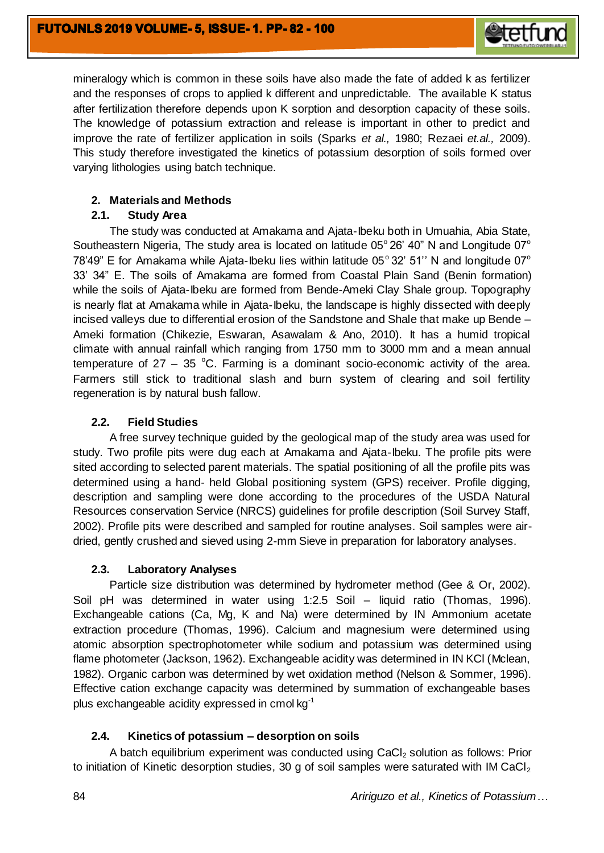

mineralogy which is common in these soils have also made the fate of added k as fertilizer and the responses of crops to applied k different and unpredictable. The available K status after fertilization therefore depends upon K sorption and desorption capacity of these soils. The knowledge of potassium extraction and release is important in other to predict and improve the rate of fertilizer application in soils (Sparks *et al.,* 1980; Rezaei *et.al.,* 2009). This study therefore investigated the kinetics of potassium desorption of soils formed over varying lithologies using batch technique.

## **2. Materials and Methods**

## **2.1. Study Area**

The study was conducted at Amakama and Ajata-Ibeku both in Umuahia, Abia State, Southeastern Nigeria, The study area is located on latitude  $05^{\circ}$  26' 40" N and Longitude  $07^{\circ}$ 78'49" E for Amakama while Ajata-Ibeku lies within latitude  $05^{\circ}$  32' 51" N and longitude  $07^{\circ}$ 33' 34" E. The soils of Amakama are formed from Coastal Plain Sand (Benin formation) while the soils of Ajata-Ibeku are formed from Bende-Ameki Clay Shale group. Topography is nearly flat at Amakama while in Ajata-Ibeku, the landscape is highly dissected with deeply incised valleys due to differential erosion of the Sandstone and Shale that make up Bende – Ameki formation (Chikezie, Eswaran, Asawalam & Ano, 2010). It has a humid tropical climate with annual rainfall which ranging from 1750 mm to 3000 mm and a mean annual temperature of  $27 - 35$  °C. Farming is a dominant socio-economic activity of the area. Farmers still stick to traditional slash and burn system of clearing and soil fertility regeneration is by natural bush fallow.

## **2.2. Field Studies**

A free survey technique guided by the geological map of the study area was used for study. Two profile pits were dug each at Amakama and Ajata-Ibeku. The profile pits were sited according to selected parent materials. The spatial positioning of all the profile pits was determined using a hand- held Global positioning system (GPS) receiver. Profile digging, description and sampling were done according to the procedures of the USDA Natural Resources conservation Service (NRCS) guidelines for profile description (Soil Survey Staff, 2002). Profile pits were described and sampled for routine analyses. Soil samples were airdried, gently crushed and sieved using 2-mm Sieve in preparation for laboratory analyses.

## **2.3. Laboratory Analyses**

Particle size distribution was determined by hydrometer method (Gee & Or, 2002). Soil pH was determined in water using 1:2.5 Soil – liquid ratio (Thomas, 1996). Exchangeable cations (Ca, Mg, K and Na) were determined by IN Ammonium acetate extraction procedure (Thomas, 1996). Calcium and magnesium were determined using atomic absorption spectrophotometer while sodium and potassium was determined using flame photometer (Jackson, 1962). Exchangeable acidity was determined in IN KCl (Mclean, 1982). Organic carbon was determined by wet oxidation method (Nelson & Sommer, 1996). Effective cation exchange capacity was determined by summation of exchangeable bases plus exchangeable acidity expressed in cmol kg-1

# **2.4. Kinetics of potassium – desorption on soils**

A batch equilibrium experiment was conducted using CaCl<sub>2</sub> solution as follows: Prior to initiation of Kinetic desorption studies, 30 g of soil samples were saturated with IM CaCl<sub>2</sub>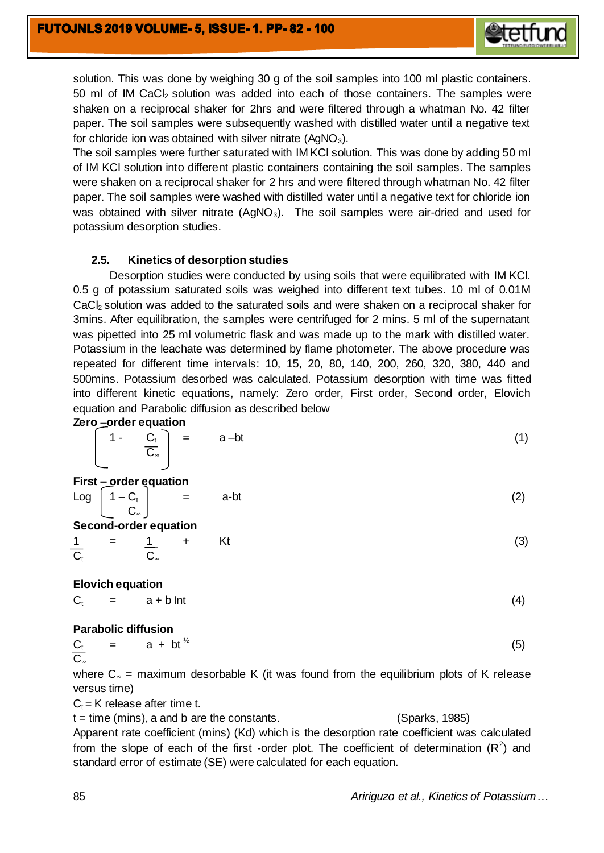

solution. This was done by weighing 30 g of the soil samples into 100 ml plastic containers. 50 ml of IM CaCl<sub>2</sub> solution was added into each of those containers. The samples were shaken on a reciprocal shaker for 2hrs and were filtered through a whatman No. 42 filter paper. The soil samples were subsequently washed with distilled water until a negative text for chloride ion was obtained with silver nitrate  $(AqNO<sub>3</sub>)$ .

The soil samples were further saturated with IM KCl solution. This was done by adding 50 ml of IM KCl solution into different plastic containers containing the soil samples. The samples were shaken on a reciprocal shaker for 2 hrs and were filtered through whatman No. 42 filter paper. The soil samples were washed with distilled water until a negative text for chloride ion was obtained with silver nitrate  $(AgNO<sub>3</sub>)$ . The soil samples were air-dried and used for potassium desorption studies.

## **2.5. Kinetics of desorption studies**

Desorption studies were conducted by using soils that were equilibrated with IM KCl. 0.5 g of potassium saturated soils was weighed into different text tubes. 10 ml of 0.01M CaC<sub>l2</sub> solution was added to the saturated soils and were shaken on a reciprocal shaker for 3mins. After equilibration, the samples were centrifuged for 2 mins. 5 ml of the supernatant was pipetted into 25 ml volumetric flask and was made up to the mark with distilled water. Potassium in the leachate was determined by flame photometer. The above procedure was repeated for different time intervals: 10, 15, 20, 80, 140, 200, 260, 320, 380, 440 and 500mins. Potassium desorbed was calculated. Potassium desorption with time was fitted into different kinetic equations, namely: Zero order, First order, Second order, Elovich equation and Parabolic diffusion as described below

#### **Zero –order equation**

|  | $\left[\begin{array}{ccc} 1 & \cdots & C_t \\ C_{\infty} & \cdots & C_{\infty} \end{array}\right] = \cdots = a-bt$ |  |
|--|--------------------------------------------------------------------------------------------------------------------|--|
|  |                                                                                                                    |  |

| First – order equation  |                       |      |     |
|-------------------------|-----------------------|------|-----|
| $Log \,   \, 1 - C_t  $ | $\equiv$              | a-bt | (2) |
| $\mathbf{C}$ .          |                       |      |     |
|                         | Second-order equation |      |     |

$$
\frac{1}{C_t} = \frac{1}{C_{\infty}} + Kt
$$
 (3)

**Elovich equation** 

 $C_t$  = a + b Int (4)

#### **Parabolic diffusion**

$$
\frac{C_t}{C_{\infty}} = a + bt^{\frac{1}{2}}
$$
 (5)

where  $C_\infty$  = maximum desorbable K (it was found from the equilibrium plots of K release versus time)

 $C_t$  = K release after time t.

t = time (mins), a and b are the constants. (Sparks, 1985)

Apparent rate coefficient (mins) (Kd) which is the desorption rate coefficient was calculated from the slope of each of the first -order plot. The coefficient of determination  $(R^2)$  and standard error of estimate (SE) were calculated for each equation.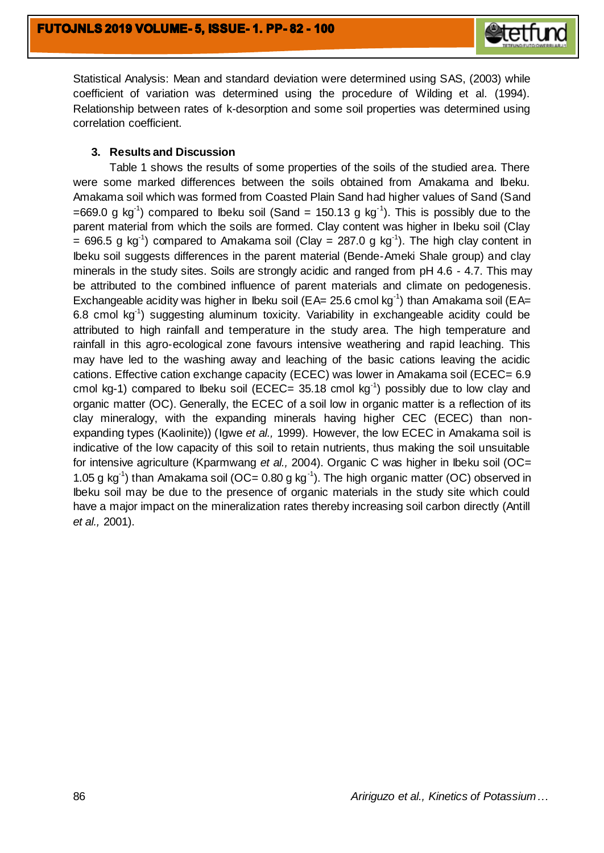

Statistical Analysis: Mean and standard deviation were determined using SAS, (2003) while coefficient of variation was determined using the procedure of Wilding et al. (1994). Relationship between rates of k-desorption and some soil properties was determined using correlation coefficient.

## **3. Results and Discussion**

Table 1 shows the results of some properties of the soils of the studied area. There were some marked differences between the soils obtained from Amakama and Ibeku. Amakama soil which was formed from Coasted Plain Sand had higher values of Sand (Sand =669.0 g kg<sup>-1</sup>) compared to Ibeku soil (Sand = 150.13 g kg<sup>-1</sup>). This is possibly due to the parent material from which the soils are formed. Clay content was higher in Ibeku soil (Clay = 696.5 g kg<sup>-1</sup>) compared to Amakama soil (Clay = 287.0 g kg<sup>-1</sup>). The high clay content in Ibeku soil suggests differences in the parent material (Bende-Ameki Shale group) and clay minerals in the study sites. Soils are strongly acidic and ranged from pH 4.6 - 4.7. This may be attributed to the combined influence of parent materials and climate on pedogenesis. Exchangeable acidity was higher in Ibeku soil (EA= 25.6 cmol kg<sup>-1</sup>) than Amakama soil (EA= 6.8 cmol kg<sup>-1</sup>) suggesting aluminum toxicity. Variability in exchangeable acidity could be attributed to high rainfall and temperature in the study area. The high temperature and rainfall in this agro-ecological zone favours intensive weathering and rapid leaching. This may have led to the washing away and leaching of the basic cations leaving the acidic cations. Effective cation exchange capacity (ECEC) was lower in Amakama soil (ECEC= 6.9 cmol kg-1) compared to lbeku soil (ECEC= 35.18 cmol kg $^{-1}$ ) possibly due to low clay and organic matter (OC). Generally, the ECEC of a soil low in organic matter is a reflection of its clay mineralogy, with the expanding minerals having higher CEC (ECEC) than nonexpanding types (Kaolinite)) (Igwe *et al.,* 1999). However, the low ECEC in Amakama soil is indicative of the low capacity of this soil to retain nutrients, thus making the soil unsuitable for intensive agriculture (Kparmwang *et al.,* 2004). Organic C was higher in Ibeku soil (OC= 1.05 g kg<sup>-1</sup>) than Amakama soil (OC= 0.80 g kg<sup>-1</sup>). The high organic matter (OC) observed in Ibeku soil may be due to the presence of organic materials in the study site which could have a major impact on the mineralization rates thereby increasing soil carbon directly (Antill *et al.,* 2001).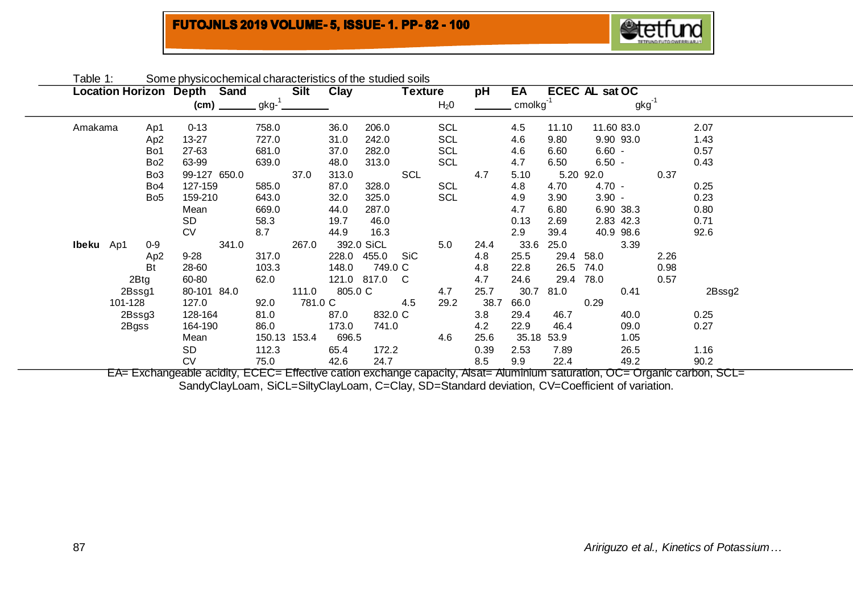# **FUTOJNLS 2019 VOLUME- 5, ISSUE- 1. PP-82 - 100**



| Table 1:  |         |                 | Some physicochemical characteristics of the studied soils |       |              |         |             |             |                |                  |      |                         |       |                |            |      |        |  |
|-----------|---------|-----------------|-----------------------------------------------------------|-------|--------------|---------|-------------|-------------|----------------|------------------|------|-------------------------|-------|----------------|------------|------|--------|--|
|           |         |                 | <b>Location Horizon Depth Sand</b>                        |       |              | Silt    | <b>Clay</b> |             | <b>Texture</b> |                  | рH   | EA                      |       | ECEC AL sat OC |            |      |        |  |
|           |         |                 | (cm)                                                      |       | $gkg-1$      |         |             |             |                | H <sub>2</sub> 0 |      | $cm$ olkg <sup>-1</sup> |       |                | gkg        |      |        |  |
| Amakama   |         | Ap1             | $0 - 13$                                                  |       | 758.0        |         | 36.0        | 206.0       |                | <b>SCL</b>       |      | 4.5                     | 11.10 |                | 11.60 83.0 |      | 2.07   |  |
|           |         | Ap <sub>2</sub> | $13 - 27$                                                 |       | 727.0        |         | 31.0        | 242.0       |                | <b>SCL</b>       |      | 4.6                     | 9.80  |                | 9.90 93.0  |      | 1.43   |  |
|           |         | Bo1             | 27-63                                                     |       | 681.0        |         | 37.0        | 282.0       |                | SCL              |      | 4.6                     | 6.60  | $6.60 -$       |            |      | 0.57   |  |
|           |         | Bo <sub>2</sub> | 63-99                                                     |       | 639.0        |         | 48.0        | 313.0       |                | <b>SCL</b>       |      | 4.7                     | 6.50  | $6.50 -$       |            |      | 0.43   |  |
|           |         | Bo <sub>3</sub> | 99-127 650.0                                              |       |              | 37.0    | 313.0       |             | SCL            |                  | 4.7  | 5.10                    |       | 5.20 92.0      |            | 0.37 |        |  |
|           |         | Bo <sub>4</sub> | 127-159                                                   |       | 585.0        |         | 87.0        | 328.0       |                | SCL              |      | 4.8                     | 4.70  | $4.70 -$       |            |      | 0.25   |  |
|           |         | Bo <sub>5</sub> | 159-210                                                   |       | 643.0        |         | 32.0        | 325.0       |                | <b>SCL</b>       |      | 4.9                     | 3.90  | $3.90 -$       |            |      | 0.23   |  |
|           |         |                 | Mean                                                      |       | 669.0        |         | 44.0        | 287.0       |                |                  |      | 4.7                     | 6.80  |                | 6.90 38.3  |      | 0.80   |  |
|           |         |                 | SD                                                        |       | 58.3         |         | 19.7        | 46.0        |                |                  |      | 0.13                    | 2.69  |                | 2.83 42.3  |      | 0.71   |  |
|           |         |                 | <b>CV</b>                                                 |       | 8.7          |         | 44.9        | 16.3        |                |                  |      | 2.9                     | 39.4  |                | 40.9 98.6  |      | 92.6   |  |
| Ibeku Ap1 |         | $0-9$           |                                                           | 341.0 |              | 267.0   |             | 392.0 SiCL  |                | 5.0              | 24.4 | 33.6                    | 25.0  |                | 3.39       |      |        |  |
|           |         | Ap <sub>2</sub> | $9 - 28$                                                  |       | 317.0        |         | 228.0       | 455.0       | SiC            |                  | 4.8  | 25.5                    | 29.4  | 58.0           |            | 2.26 |        |  |
|           |         | Bt              | 28-60                                                     |       | 103.3        |         | 148.0       | 749.0 C     |                |                  | 4.8  | 22.8                    | 26.5  | 74.0           |            | 0.98 |        |  |
|           |         | 2Btg            | 60-80                                                     |       | 62.0         |         |             | 121.0 817.0 | C.             |                  | 4.7  | 24.6                    | 29.4  | 78.0           |            | 0.57 |        |  |
|           |         | 2Bssg1          | 80-101 84.0                                               |       |              | 111.0   | 805.0 C     |             |                | 4.7              | 25.7 | 30.7                    | 81.0  |                | 0.41       |      | 2Bssg2 |  |
|           | 101-128 |                 | 127.0                                                     |       | 92.0         | 781.0 C |             |             | 4.5            | 29.2             | 38.7 | 66.0                    |       | 0.29           |            |      |        |  |
|           |         | 2Bssg3          | 128-164                                                   |       | 81.0         |         | 87.0        | 832.0 C     |                |                  | 3.8  | 29.4                    | 46.7  |                | 40.0       |      | 0.25   |  |
|           |         | 2Bgss           | 164-190                                                   |       | 86.0         |         | 173.0       | 741.0       |                |                  | 4.2  | 22.9                    | 46.4  |                | 09.0       |      | 0.27   |  |
|           |         |                 | Mean                                                      |       | 150.13 153.4 |         | 696.5       |             |                | 4.6              | 25.6 | 35.18                   | 53.9  |                | 1.05       |      |        |  |
|           |         |                 | SD                                                        |       | 112.3        |         | 65.4        | 172.2       |                |                  | 0.39 | 2.53                    | 7.89  |                | 26.5       |      | 1.16   |  |
|           |         |                 | <b>CV</b>                                                 |       | 75.0         |         | 42.6        | 24.7        |                |                  | 8.5  | 9.9                     | 22.4  |                | 49.2       |      | 90.2   |  |

EA= Exchangeable acidity, ECEC= Effective cation exchange capacity, Alsat= Aluminium saturation, OC= Organic carbon, SCL= SandyClayLoam, SiCL=SiltyClayLoam, C=Clay, SD=Standard deviation, CV=Coefficient of variation.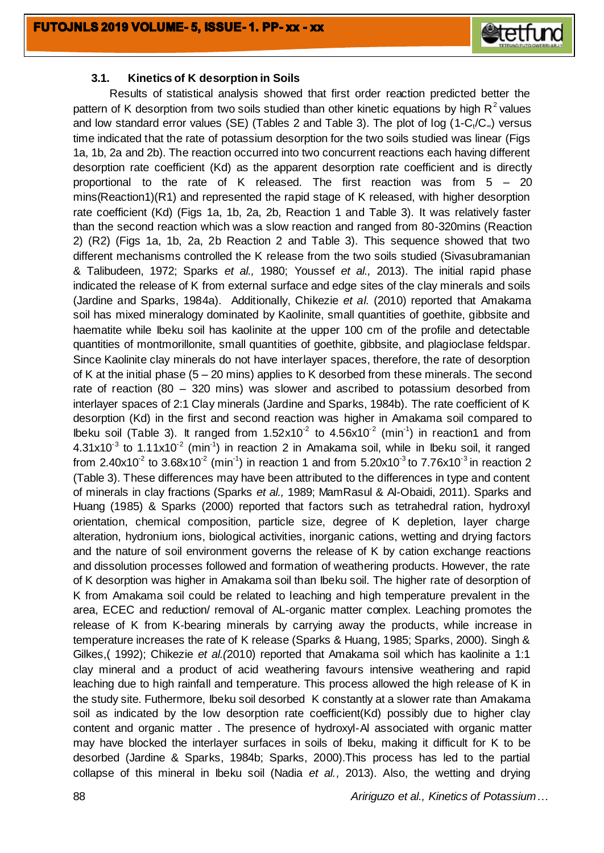

### **3.1. Kinetics of K desorption in Soils**

Results of statistical analysis showed that first order reaction predicted better the pattern of K desorption from two soils studied than other kinetic equations by high  $R<sup>2</sup>$  values and low standard error values (SE) (Tables 2 and Table 3). The plot of log (1-C<sub>t</sub>/C<sub>∞</sub>) versus time indicated that the rate of potassium desorption for the two soils studied was linear (Figs 1a, 1b, 2a and 2b). The reaction occurred into two concurrent reactions each having different desorption rate coefficient (Kd) as the apparent desorption rate coefficient and is directly proportional to the rate of K released. The first reaction was from 5 – 20 mins(Reaction1)(R1) and represented the rapid stage of K released, with higher desorption rate coefficient (Kd) (Figs 1a, 1b, 2a, 2b, Reaction 1 and Table 3). It was relatively faster than the second reaction which was a slow reaction and ranged from 80-320mins (Reaction 2) (R2) (Figs 1a, 1b, 2a, 2b Reaction 2 and Table 3). This sequence showed that two different mechanisms controlled the K release from the two soils studied (Sivasubramanian & Talibudeen, 1972; Sparks *et al.,* 1980; Youssef *et al.,* 2013). The initial rapid phase indicated the release of K from external surface and edge sites of the clay minerals and soils (Jardine and Sparks, 1984a). Additionally, Chikezie *et al.* (2010) reported that Amakama soil has mixed mineralogy dominated by Kaolinite, small quantities of goethite, gibbsite and haematite while Ibeku soil has kaolinite at the upper 100 cm of the profile and detectable quantities of montmorillonite, small quantities of goethite, gibbsite, and plagioclase feldspar. Since Kaolinite clay minerals do not have interlayer spaces, therefore, the rate of desorption of K at the initial phase (5 – 20 mins) applies to K desorbed from these minerals. The second rate of reaction (80 – 320 mins) was slower and ascribed to potassium desorbed from interlayer spaces of 2:1 Clay minerals (Jardine and Sparks, 1984b). The rate coefficient of K desorption (Kd) in the first and second reaction was higher in Amakama soil compared to lbeku soil (Table 3). It ranged from  $1.52 \times 10^{-2}$  to  $4.56 \times 10^{-2}$  (min<sup>-1</sup>) in reaction1 and from  $4.31x10^{-3}$  to  $1.11x10^{-2}$  (min<sup>-1</sup>) in reaction 2 in Amakama soil, while in Ibeku soil, it ranged from 2.40x10<sup>-2</sup> to 3.68x10<sup>-2</sup> (min<sup>-1</sup>) in reaction 1 and from 5.20x10<sup>-3</sup> to 7.76x10<sup>-3</sup> in reaction 2 (Table 3). These differences may have been attributed to the differences in type and content of minerals in clay fractions (Sparks *et al.,* 1989; MamRasul & Al-Obaidi, 2011). Sparks and Huang (1985) & Sparks (2000) reported that factors such as tetrahedral ration, hydroxyl orientation, chemical composition, particle size, degree of K depletion, layer charge alteration, hydronium ions, biological activities, inorganic cations, wetting and drying factors and the nature of soil environment governs the release of K by cation exchange reactions and dissolution processes followed and formation of weathering products. However, the rate of K desorption was higher in Amakama soil than Ibeku soil. The higher rate of desorption of K from Amakama soil could be related to leaching and high temperature prevalent in the area, ECEC and reduction/ removal of AL-organic matter complex. Leaching promotes the release of K from K-bearing minerals by carrying away the products, while increase in temperature increases the rate of K release (Sparks & Huang, 1985; Sparks, 2000). Singh & Gilkes,( 1992); Chikezie *et al.(*2010) reported that Amakama soil which has kaolinite a 1:1 clay mineral and a product of acid weathering favours intensive weathering and rapid leaching due to high rainfall and temperature. This process allowed the high release of K in the study site. Futhermore, Ibeku soil desorbed K constantly at a slower rate than Amakama soil as indicated by the low desorption rate coefficient(Kd) possibly due to higher clay content and organic matter . The presence of hydroxyl-Al associated with organic matter may have blocked the interlayer surfaces in soils of Ibeku, making it difficult for K to be desorbed (Jardine & Sparks, 1984b; Sparks, 2000).This process has led to the partial collapse of this mineral in Ibeku soil (Nadia *et al.,* 2013). Also, the wetting and drying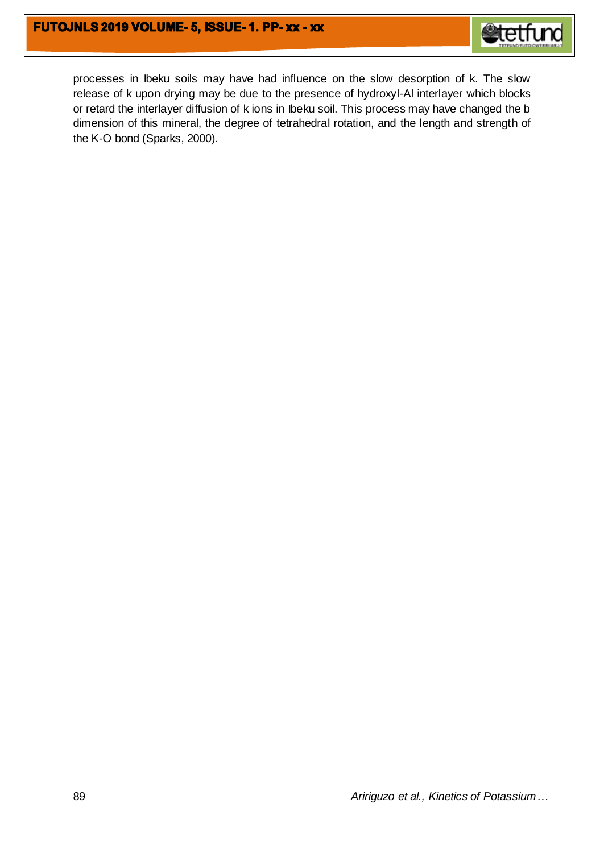

processes in Ibeku soils may have had influence on the slow desorption of k. The slow release of k upon drying may be due to the presence of hydroxyl-Al interlayer which blocks or retard the interlayer diffusion of k ions in Ibeku soil. This process may have changed the b dimension of this mineral, the degree of tetrahedral rotation, and the length and strength of the K-O bond (Sparks, 2000).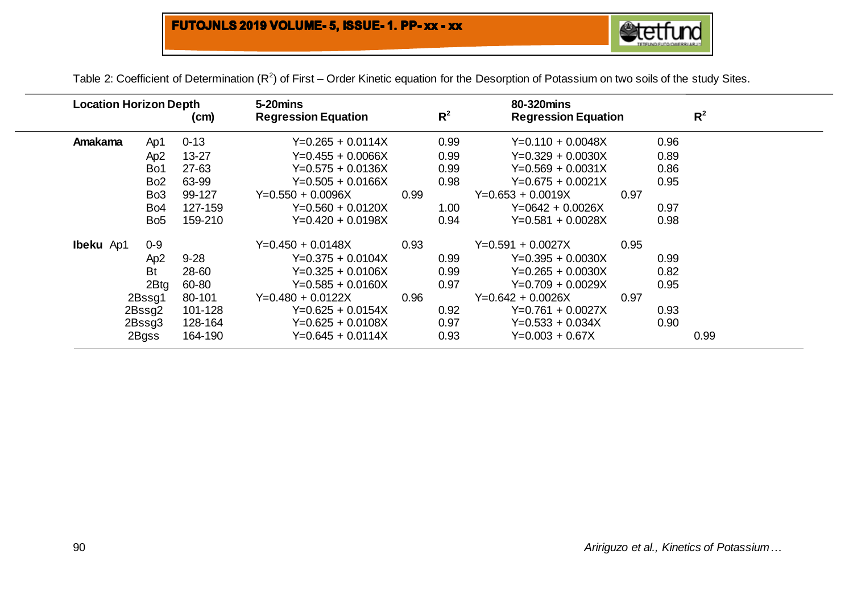# FUTOJNLS 2019 VOLUME- 5, ISSUE- 1. PP- xx - xx



Table 2: Coefficient of Determination (R<sup>2</sup>) of First – Order Kinetic equation for the Desorption of Potassium on two soils of the study Sites.

| <b>Location Horizon Depth</b><br>(cm) |  |                  | 5-20mins<br><b>Regression Equation</b> |                     | $R^2$ | 80-320mins<br><b>Regression Equation</b> |                     |      | $R^2$ |      |  |
|---------------------------------------|--|------------------|----------------------------------------|---------------------|-------|------------------------------------------|---------------------|------|-------|------|--|
| <b>Amakama</b>                        |  | Ap1              | $0 - 13$                               | $Y=0.265 + 0.0114X$ |       | 0.99                                     | $Y=0.110 + 0.0048X$ |      | 0.96  |      |  |
|                                       |  | Ap <sub>2</sub>  | $13 - 27$                              | $Y=0.455 + 0.0066X$ |       | 0.99                                     | $Y=0.329 + 0.0030X$ |      | 0.89  |      |  |
|                                       |  | Bo1              | 27-63                                  | $Y=0.575 + 0.0136X$ |       | 0.99                                     | $Y=0.569 + 0.0031X$ |      | 0.86  |      |  |
|                                       |  | Bo <sub>2</sub>  | 63-99                                  | $Y=0.505 + 0.0166X$ |       | 0.98                                     | $Y=0.675 + 0.0021X$ |      | 0.95  |      |  |
|                                       |  | Bo <sub>3</sub>  | 99-127                                 | $Y=0.550 + 0.0096X$ | 0.99  |                                          | $Y=0.653 + 0.0019X$ | 0.97 |       |      |  |
|                                       |  | Bo <sub>4</sub>  | 127-159                                | $Y=0.560 + 0.0120X$ |       | 1.00                                     | $Y=0642 + 0.0026X$  |      | 0.97  |      |  |
|                                       |  | Bo <sub>5</sub>  | 159-210                                | $Y=0.420 + 0.0198X$ |       | 0.94                                     | $Y=0.581 + 0.0028X$ |      | 0.98  |      |  |
| <b>Ibeku</b> Ap1                      |  | $0 - 9$          |                                        | $Y=0.450 + 0.0148X$ | 0.93  |                                          | $Y=0.591 + 0.0027X$ | 0.95 |       |      |  |
|                                       |  | Ap <sub>2</sub>  | $9 - 28$                               | $Y=0.375 + 0.0104X$ |       | 0.99                                     | $Y=0.395 + 0.0030X$ |      | 0.99  |      |  |
|                                       |  | <b>Bt</b>        | 28-60                                  | $Y=0.325 + 0.0106X$ |       | 0.99                                     | $Y=0.265 + 0.0030X$ |      | 0.82  |      |  |
|                                       |  | 2B <sub>tg</sub> | 60-80                                  | $Y=0.585 + 0.0160X$ |       | 0.97                                     | $Y=0.709 + 0.0029X$ |      | 0.95  |      |  |
|                                       |  | 2Bssg1           | 80-101                                 | $Y=0.480 + 0.0122X$ | 0.96  |                                          | $Y=0.642 + 0.0026X$ | 0.97 |       |      |  |
|                                       |  | 2Bssg2           | 101-128                                | $Y=0.625 + 0.0154X$ |       | 0.92                                     | $Y=0.761 + 0.0027X$ |      | 0.93  |      |  |
|                                       |  | 2Bsg3            | 128-164                                | $Y=0.625 + 0.0108X$ |       | 0.97                                     | $Y=0.533 + 0.034X$  |      | 0.90  |      |  |
|                                       |  | 2Bgss            | 164-190                                | $Y=0.645 + 0.0114X$ |       | 0.93                                     | $Y=0.003 + 0.67X$   |      |       | 0.99 |  |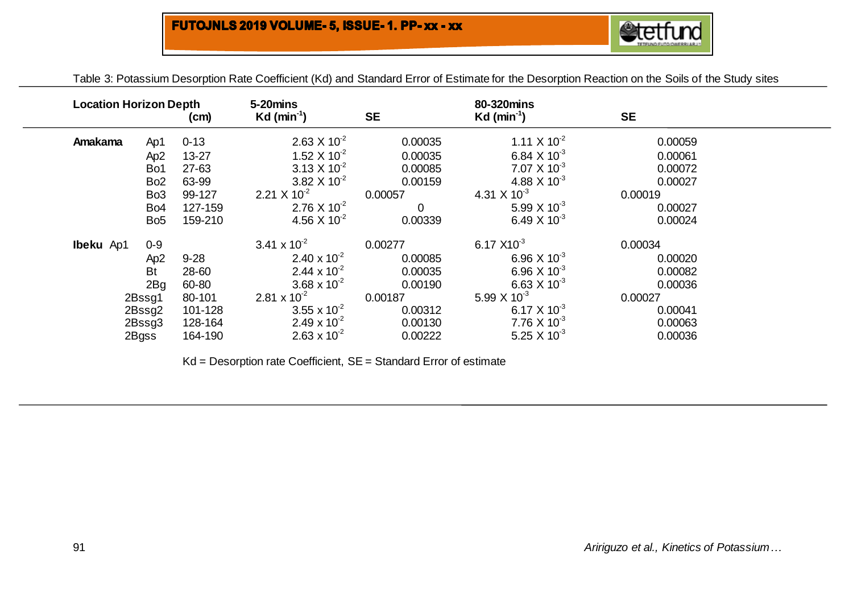| Table 3: Polassium Desorbuon Rate Coemcient (Kd) and Standard Effor Of Estimate for the Desorbuon Reaction on the Solis of the Study sites |                           |    |                        |    |  |
|--------------------------------------------------------------------------------------------------------------------------------------------|---------------------------|----|------------------------|----|--|
|                                                                                                                                            |                           |    |                        |    |  |
| <b>Location Horizon Depth</b>                                                                                                              | 5-20mins                  |    | 80-320mins             |    |  |
| (cm)                                                                                                                                       | $Kd$ (min <sup>-1</sup> ) | SE | Kd (min <sup>-1)</sup> | SЕ |  |

Table 3: Potassium Desorption Rate Coefficient (Kd) and Standard Error of Estimate for the Desorption Reaction on the Soils of the Study sites

| Amakama          | Ap1             | $0 - 13$  | $2.63 \times 10^{-2}$          | 0.00035        | 1.11 $\times$ 10 <sup>-2</sup> | 0.00059 |
|------------------|-----------------|-----------|--------------------------------|----------------|--------------------------------|---------|
|                  | Ap <sub>2</sub> | $13 - 27$ | 1.52 $\times$ 10 <sup>-2</sup> | 0.00035        | 6.84 $\times$ 10 <sup>-3</sup> | 0.00061 |
|                  | Bo1             | $27 - 63$ | $3.13 \times 10^{-2}$          | 0.00085        | $7.07 \times 10^{-3}$          | 0.00072 |
|                  | Bo <sub>2</sub> | 63-99     | 3.82 $\times$ 10 <sup>-2</sup> | 0.00159        | 4.88 $\times$ 10 <sup>-3</sup> | 0.00027 |
|                  | Bo <sub>3</sub> | 99-127    | 2.21 $\times$ 10 <sup>-2</sup> | 0.00057        | 4.31 $\times$ 10 <sup>-3</sup> | 0.00019 |
|                  | Bo <sub>4</sub> | 127-159   | 2.76 $\times$ 10 <sup>-2</sup> | $\overline{0}$ | 5.99 $\times$ 10 <sup>-3</sup> | 0.00027 |
|                  | Bo <sub>5</sub> | 159-210   | 4.56 $\times$ 10 <sup>-2</sup> | 0.00339        | 6.49 $\times$ 10 <sup>-3</sup> | 0.00024 |
| <b>Ibeku</b> Ap1 | $0-9$           |           | 3.41 x $10^{-2}$               | 0.00277        | 6.17 $X10^{-3}$                | 0.00034 |
|                  | Ap <sub>2</sub> | $9 - 28$  | 2.40 x $10^{-2}$               | 0.00085        | 6.96 $\times$ 10 <sup>-3</sup> | 0.00020 |
|                  | <b>Bt</b>       | 28-60     | 2.44 x $10^{-2}$               | 0.00035        | 6.96 $\times$ 10 <sup>-3</sup> | 0.00082 |
|                  | 2Bg             | 60-80     | 3.68 x $10^{-2}$               | 0.00190        | 6.63 $\times$ 10 <sup>-3</sup> | 0.00036 |
|                  | 2Bssg1          | 80-101    | 2.81 x $10^{-2}$               | 0.00187        | 5.99 $\times$ 10 <sup>-3</sup> | 0.00027 |
|                  | 2Bssg2          | 101-128   | 3.55 x $10^{-2}$               | 0.00312        | 6.17 $\times$ 10 <sup>-3</sup> | 0.00041 |
|                  | 2Bssg3          | 128-164   | 2.49 x $10^{-2}$               | 0.00130        | 7.76 $\times$ 10 <sup>-3</sup> | 0.00063 |
|                  | 2Bgss           | 164-190   | $2.63 \times 10^{-2}$          | 0.00222        | 5.25 $\times$ 10 <sup>-3</sup> | 0.00036 |
|                  |                 |           |                                |                |                                |         |

Kd = Desorption rate Coefficient, SE = Standard Error of estimate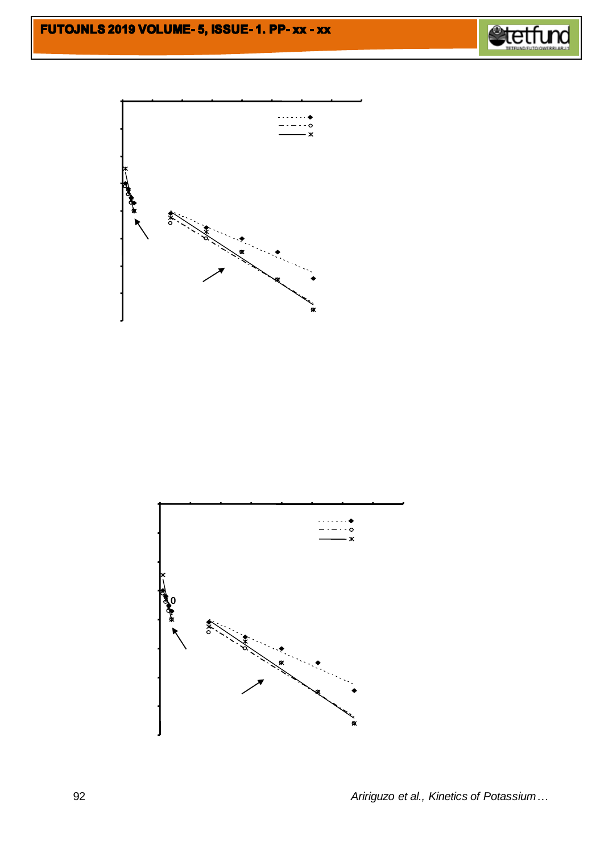



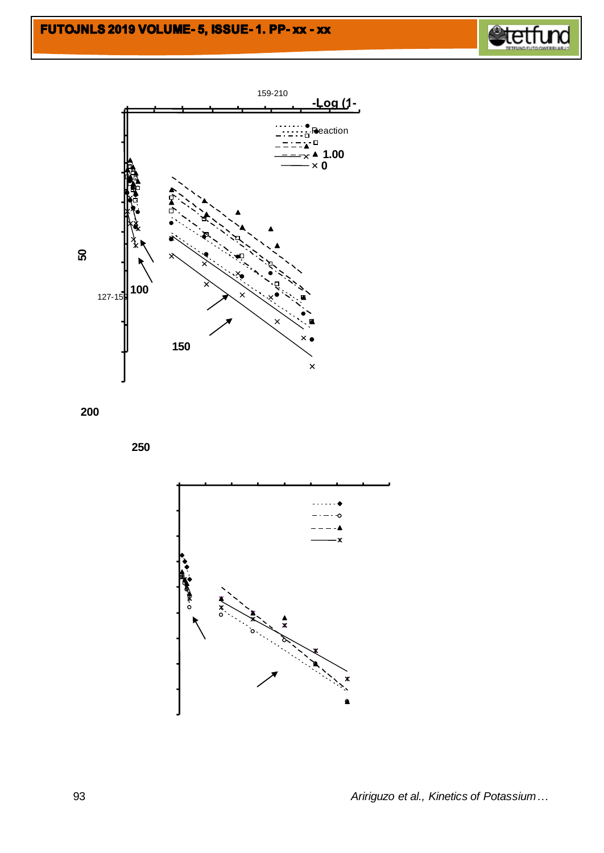







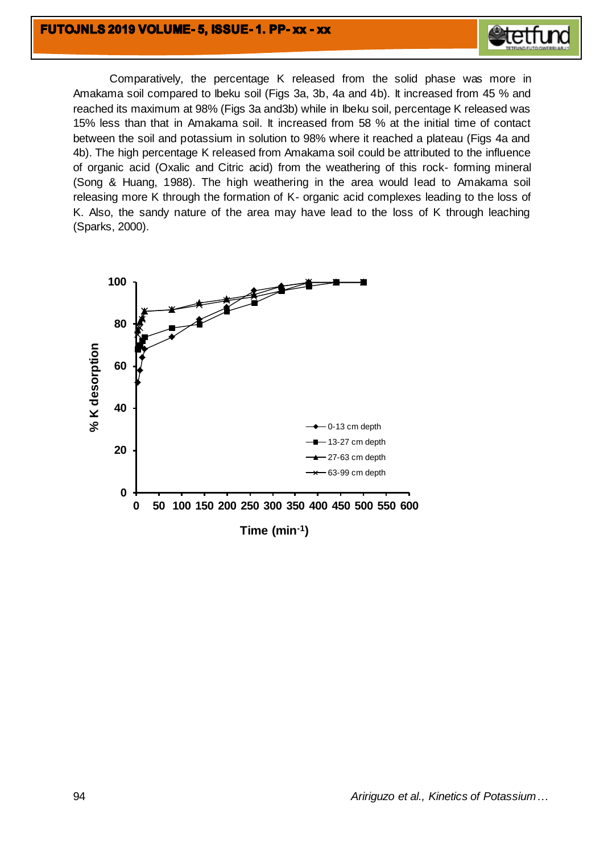## FUTOJNLS 2019 VOLUME-5, ISSUE-1. PP-XX - XX



Comparatively, the percentage K released from the solid phase was more in Amakama soil compared to Ibeku soil (Figs 3a, 3b, 4a and 4b). It increased from 45 % and reached its maximum at 98% (Figs 3a and3b) while in Ibeku soil, percentage K released was 15% less than that in Amakama soil. It increased from 58 % at the initial time of contact between the soil and potassium in solution to 98% where it reached a plateau (Figs 4a and 4b). The high percentage K released from Amakama soil could be attributed to the influence of organic acid (Oxalic and Citric acid) from the weathering of this rock- forming mineral (Song & Huang, 1988). The high weathering in the area would lead to Amakama soil releasing more K through the formation of K- organic acid complexes leading to the loss of K. Also, the sandy nature of the area may have lead to the loss of K through leaching (Sparks, 2000).

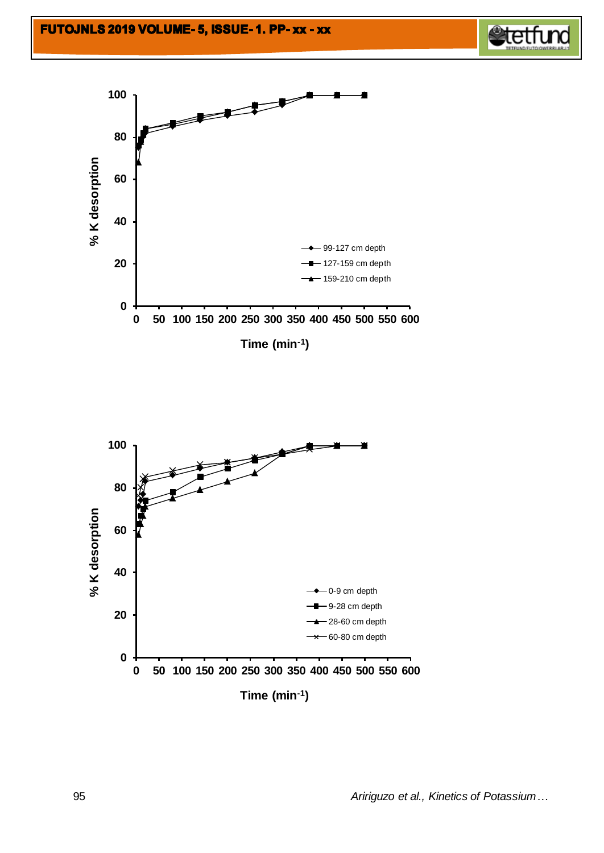



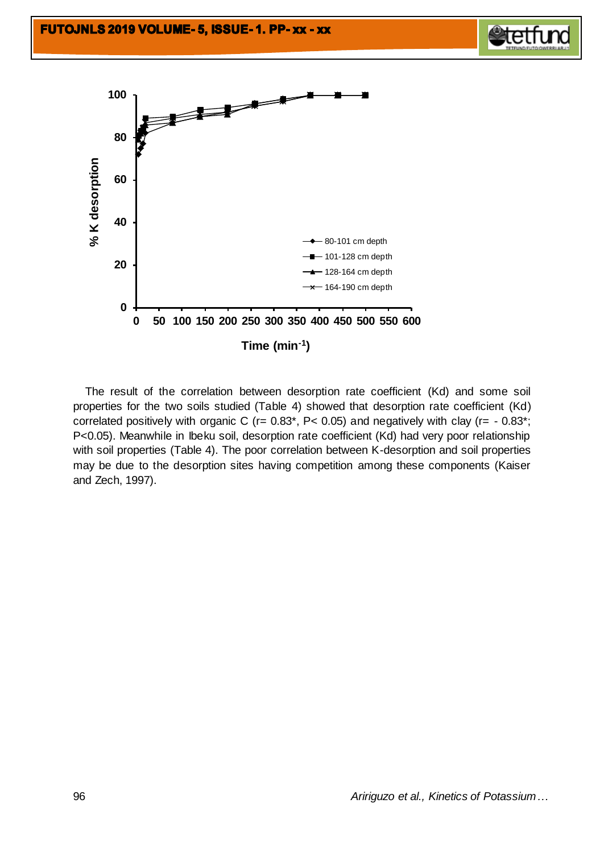





 The result of the correlation between desorption rate coefficient (Kd) and some soil properties for the two soils studied (Table 4) showed that desorption rate coefficient (Kd) correlated positively with organic C ( $r = 0.83$ <sup>\*</sup>,  $P < 0.05$ ) and negatively with clay ( $r = -0.83$ <sup>\*</sup>; P<0.05). Meanwhile in Ibeku soil, desorption rate coefficient (Kd) had very poor relationship with soil properties (Table 4). The poor correlation between K-desorption and soil properties may be due to the desorption sites having competition among these components (Kaiser and Zech, 1997).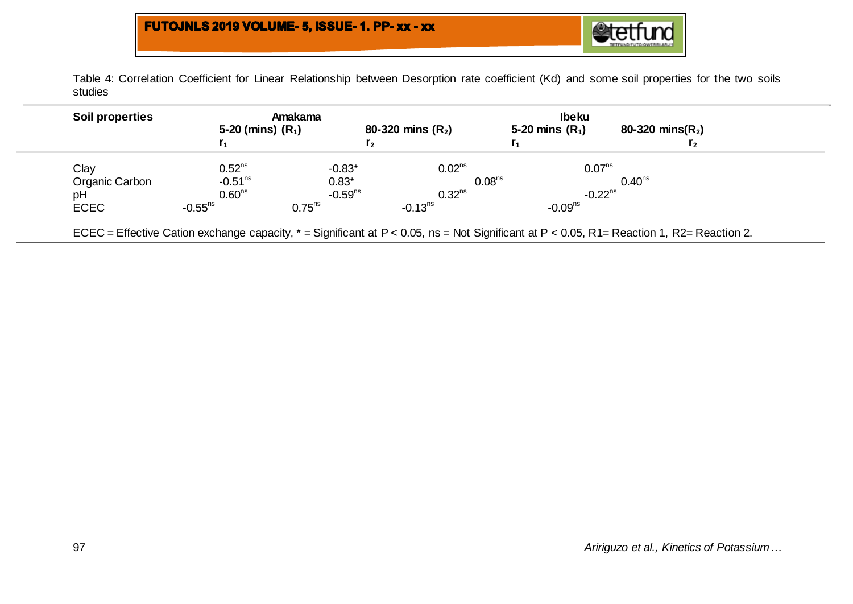

Table 4: Correlation Coefficient for Linear Relationship between Desorption rate coefficient (Kd) and some soil properties for the two soils studies

| Soil properties |                       | Amakama        |                     | <b>Ibeku</b>          |                      |
|-----------------|-----------------------|----------------|---------------------|-----------------------|----------------------|
|                 | 5-20 (mins) $(R_1)$   |                | 80-320 mins $(R_2)$ | 5-20 mins $(R_1)$     | 80-320 mins( $R_2$ ) |
|                 |                       | r <sub>2</sub> |                     |                       | r <sub>2</sub>       |
| Clay            | 0.52 <sup>ns</sup>    | $-0.83*$       | 0.02 <sup>ns</sup>  | 0.07 <sup>ns</sup>    |                      |
| Organic Carbon  | $-0.51ns$             | $0.83*$        | 0.08 <sup>ns</sup>  |                       | 0.40 <sup>ns</sup>   |
| pH              | 0.60 <sup>ns</sup>    | $-0.59ns$      | $0.32^{ns}$         | $-0.22$ <sup>ns</sup> |                      |
| <b>ECEC</b>     | $-0.55$ <sup>ns</sup> | $0.75^{ns}$    | $-0.13ns$           | $-0.09ns$             |                      |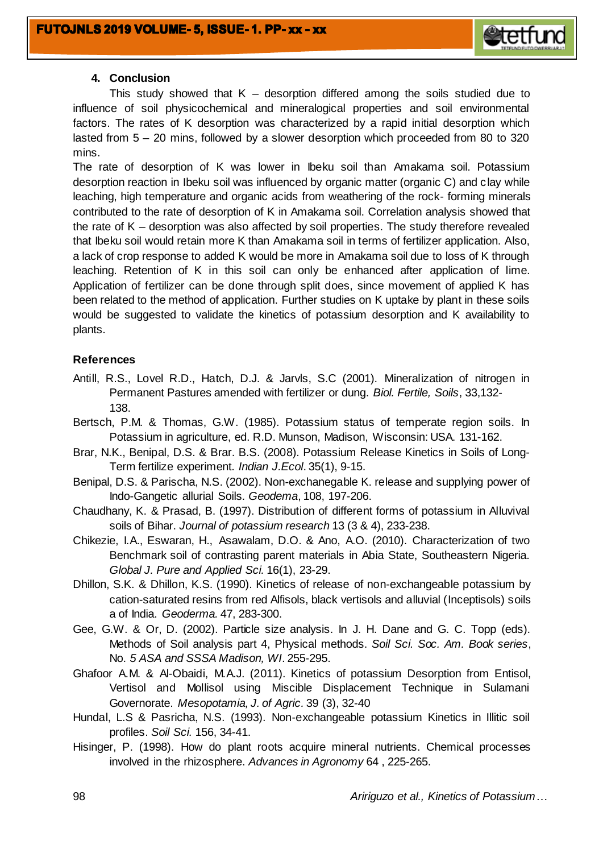

## **4. Conclusion**

This study showed that  $K -$  desorption differed among the soils studied due to influence of soil physicochemical and mineralogical properties and soil environmental factors. The rates of K desorption was characterized by a rapid initial desorption which lasted from 5 – 20 mins, followed by a slower desorption which proceeded from 80 to 320 mins.

The rate of desorption of K was lower in Ibeku soil than Amakama soil. Potassium desorption reaction in Ibeku soil was influenced by organic matter (organic C) and clay while leaching, high temperature and organic acids from weathering of the rock- forming minerals contributed to the rate of desorption of K in Amakama soil. Correlation analysis showed that the rate of K – desorption was also affected by soil properties. The study therefore revealed that Ibeku soil would retain more K than Amakama soil in terms of fertilizer application. Also, a lack of crop response to added K would be more in Amakama soil due to loss of K through leaching. Retention of K in this soil can only be enhanced after application of lime. Application of fertilizer can be done through split does, since movement of applied K has been related to the method of application. Further studies on K uptake by plant in these soils would be suggested to validate the kinetics of potassium desorption and K availability to plants.

## **References**

- Antill, R.S., Lovel R.D., Hatch, D.J. & Jarvls, S.C (2001). Mineralization of nitrogen in Permanent Pastures amended with fertilizer or dung. *Biol. Fertile, Soils*, 33,132- 138.
- Bertsch, P.M. & Thomas, G.W. (1985). Potassium status of temperate region soils. In Potassium in agriculture, ed. R.D. Munson, Madison, Wisconsin: USA. 131-162.
- Brar, N.K., Benipal, D.S. & Brar. B.S. (2008). Potassium Release Kinetics in Soils of Long-Term fertilize experiment. *Indian J.Ecol*. 35(1), 9-15.
- Benipal, D.S. & Parischa, N.S. (2002). Non-exchanegable K. release and supplying power of Indo-Gangetic allurial Soils*. Geodema*, 108, 197-206.
- Chaudhany, K. & Prasad, B. (1997). Distribution of different forms of potassium in Alluvival soils of Bihar. *Journal of potassium research* 13 (3 & 4), 233-238.
- Chikezie, I.A., Eswaran, H., Asawalam, D.O. & Ano, A.O. (2010). Characterization of two Benchmark soil of contrasting parent materials in Abia State, Southeastern Nigeria. *Global J. Pure and Applied Sci.* 16(1), 23-29.
- Dhillon, S.K. & Dhillon, K.S. (1990). Kinetics of release of non-exchangeable potassium by cation-saturated resins from red Alfisols, black vertisols and alluvial (Inceptisols) soils a of India. *Geoderma.* 47, 283-300.
- Gee, G.W. & Or, D. (2002). Particle size analysis. In J. H. Dane and G. C. Topp (eds). Methods of Soil analysis part 4, Physical methods. *Soil Sci. Soc. Am. Book series*, No. *5 ASA and SSSA Madison, WI*. 255-295.
- Ghafoor A.M. & Al-Obaidi, M.A.J. (2011). Kinetics of potassium Desorption from Entisol, Vertisol and Mollisol using Miscible Displacement Technique in Sulamani Governorate. *Mesopotamia, J. of Agric.* 39 (3), 32-40
- Hundal, L.S & Pasricha, N.S. (1993). Non-exchangeable potassium Kinetics in Illitic soil profiles. *Soil Sci.* 156, 34-41.
- Hisinger, P. (1998). How do plant roots acquire mineral nutrients. Chemical processes involved in the rhizosphere. *Advances in Agronomy* 64 , 225-265.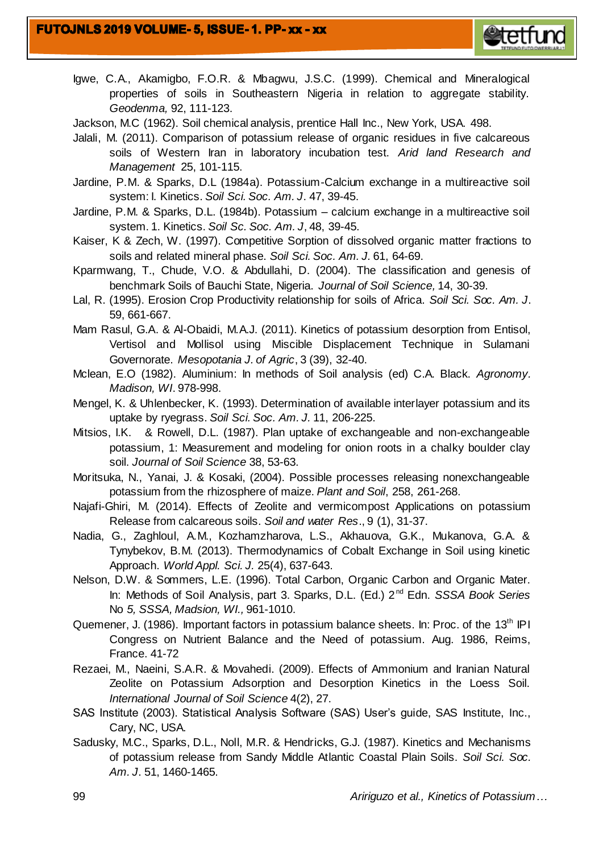- Igwe, C.A., Akamigbo, F.O.R. & Mbagwu, J.S.C. (1999). Chemical and Mineralogical properties of soils in Southeastern Nigeria in relation to aggregate stability. *Geodenma,* 92, 111-123.
- Jackson, M.C (1962). Soil chemical analysis, prentice Hall Inc., New York, USA. 498.
- Jalali, M. (2011). Comparison of potassium release of organic residues in five calcareous soils of Western Iran in laboratory incubation test. *Arid land Research and Management* 25, 101-115.
- Jardine, P.M. & Sparks, D.L (1984a). Potassium-Calcium exchange in a multireactive soil system: I. Kinetics. *Soil Sci. Soc. Am. J*. 47, 39-45.
- Jardine, P.M. & Sparks, D.L. (1984b). Potassium calcium exchange in a multireactive soil system. 1. Kinetics. *Soil Sc. Soc. Am. J*, 48, 39-45.
- Kaiser, K & Zech, W. (1997). Competitive Sorption of dissolved organic matter fractions to soils and related mineral phase. *Soil Sci. Soc. Am. J.* 61, 64-69.
- Kparmwang, T., Chude, V.O. & Abdullahi, D. (2004). The classification and genesis of benchmark Soils of Bauchi State, Nigeria. *Journal of Soil Science,* 14, 30-39.
- Lal, R. (1995). Erosion Crop Productivity relationship for soils of Africa. *Soil Sci. Soc. Am. J*. 59, 661-667.
- Mam Rasul, G.A. & Al-Obaidi, M.A.J. (2011). Kinetics of potassium desorption from Entisol, Vertisol and Mollisol using Miscible Displacement Technique in Sulamani Governorate. *Mesopotania J. of Agric*, 3 (39), 32-40.
- Mclean, E.O (1982). Aluminium: In methods of Soil analysis (ed) C.A. Black. *Agronomy. Madison, WI*. 978-998.
- Mengel, K. & Uhlenbecker, K. (1993). Determination of available interlayer potassium and its uptake by ryegrass. *Soil Sci. Soc. Am. J.* 11, 206-225.
- Mitsios, I.K. & Rowell, D.L. (1987). Plan uptake of exchangeable and non-exchangeable potassium, 1: Measurement and modeling for onion roots in a chalky boulder clay soil. *Journal of Soil Science* 38, 53-63.
- Moritsuka, N., Yanai, J. & Kosaki, (2004). Possible processes releasing nonexchangeable potassium from the rhizosphere of maize. *Plant and Soil*, 258, 261-268.
- Najafi-Ghiri, M. (2014). Effects of Zeolite and vermicompost Applications on potassium Release from calcareous soils. *Soil and water Res*., 9 (1), 31-37.
- Nadia, G., Zaghloul, A.M., Kozhamzharova, L.S., Akhauova, G.K., Mukanova, G.A. & Tynybekov, B.M. (2013). Thermodynamics of Cobalt Exchange in Soil using kinetic Approach. *World Appl. Sci. J.* 25(4), 637-643.
- Nelson, D.W. & Sommers, L.E. (1996). Total Carbon, Organic Carbon and Organic Mater. In: Methods of Soil Analysis, part 3. Sparks, D.L. (Ed.) 2nd Edn. *SSSA Book Series* No *5, SSSA, Madsion, WI.,* 961-1010.
- Quemener, J. (1986). Important factors in potassium balance sheets. In: Proc. of the 13<sup>th</sup> IPI Congress on Nutrient Balance and the Need of potassium. Aug. 1986, Reims, France. 41-72
- Rezaei, M., Naeini, S.A.R. & Movahedi. (2009). Effects of Ammonium and Iranian Natural Zeolite on Potassium Adsorption and Desorption Kinetics in the Loess Soil. *International Journal of Soil Science* 4(2), 27.
- SAS Institute (2003). Statistical Analysis Software (SAS) User's guide, SAS Institute, Inc., Cary, NC, USA.
- Sadusky, M.C., Sparks, D.L., Noll, M.R. & Hendricks, G.J. (1987). Kinetics and Mechanisms of potassium release from Sandy Middle Atlantic Coastal Plain Soils. *Soil Sci. Soc. Am. J*. 51, 1460-1465.

**etetfu**